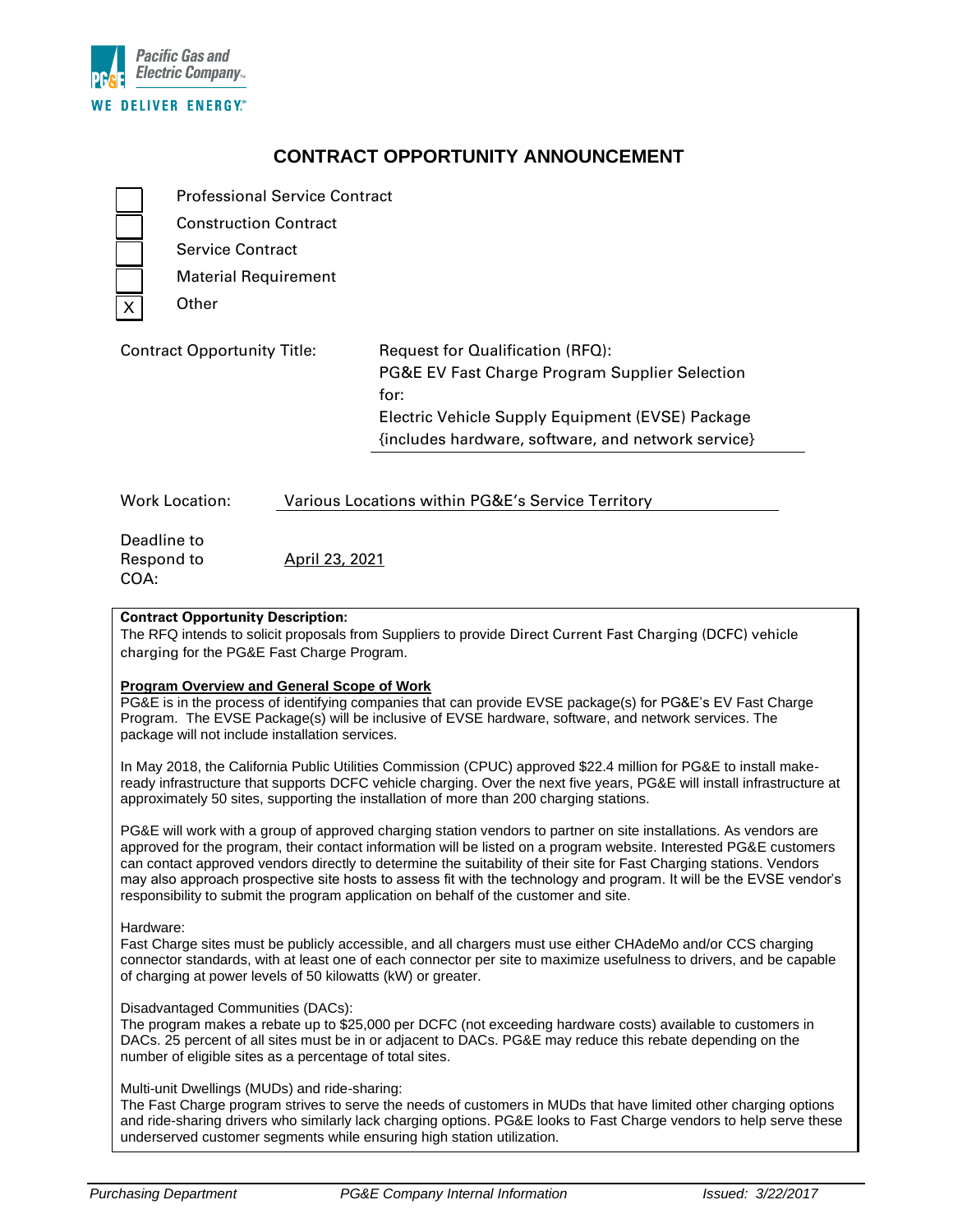

# **CONTRACT OPPORTUNITY ANNOUNCEMENT**

Professional Service Contract Construction Contract

Service Contract

Material Requirement

Other

# Contract Opportunity Title: Request for Qualification (RFQ): PG&E EV Fast Charge Program Supplier Selection for: Electric Vehicle Supply Equipment (EVSE) Package {includes hardware, software, and network service}

| <b>Work Location:</b> | Various Locations within PG&E's Service Territory |  |  |
|-----------------------|---------------------------------------------------|--|--|
|                       |                                                   |  |  |

| Deadline to |                |
|-------------|----------------|
| Respond to  | April 23, 2021 |
| COA:        |                |

## **Contract Opportunity Description:**

The RFQ intends to solicit proposals from Suppliers to provide Direct Current Fast Charging (DCFC) vehicle charging for the PG&E Fast Charge Program.

### **Program Overview and General Scope of Work**

PG&E is in the process of identifying companies that can provide EVSE package(s) for PG&E's EV Fast Charge Program. The EVSE Package(s) will be inclusive of EVSE hardware, software, and network services. The package will not include installation services.

In May 2018, the California Public Utilities Commission (CPUC) approved \$22.4 million for PG&E to install makeready infrastructure that supports DCFC vehicle charging. Over the next five years, PG&E will install infrastructure at approximately 50 sites, supporting the installation of more than 200 charging stations.

PG&E will work with a group of approved charging station vendors to partner on site installations. As vendors are approved for the program, their contact information will be listed on a program website. Interested PG&E customers can contact approved vendors directly to determine the suitability of their site for Fast Charging stations. Vendors may also approach prospective site hosts to assess fit with the technology and program. It will be the EVSE vendor's responsibility to submit the program application on behalf of the customer and site.

### Hardware:

Fast Charge sites must be publicly accessible, and all chargers must use either CHAdeMo and/or CCS charging connector standards, with at least one of each connector per site to maximize usefulness to drivers, and be capable of charging at power levels of 50 kilowatts (kW) or greater.

### Disadvantaged Communities (DACs):

The program makes a rebate up to \$25,000 per DCFC (not exceeding hardware costs) available to customers in DACs. 25 percent of all sites must be in or adjacent to DACs. PG&E may reduce this rebate depending on the number of eligible sites as a percentage of total sites.

## Multi-unit Dwellings (MUDs) and ride-sharing:

The Fast Charge program strives to serve the needs of customers in MUDs that have limited other charging options and ride-sharing drivers who similarly lack charging options. PG&E looks to Fast Charge vendors to help serve these underserved customer segments while ensuring high station utilization.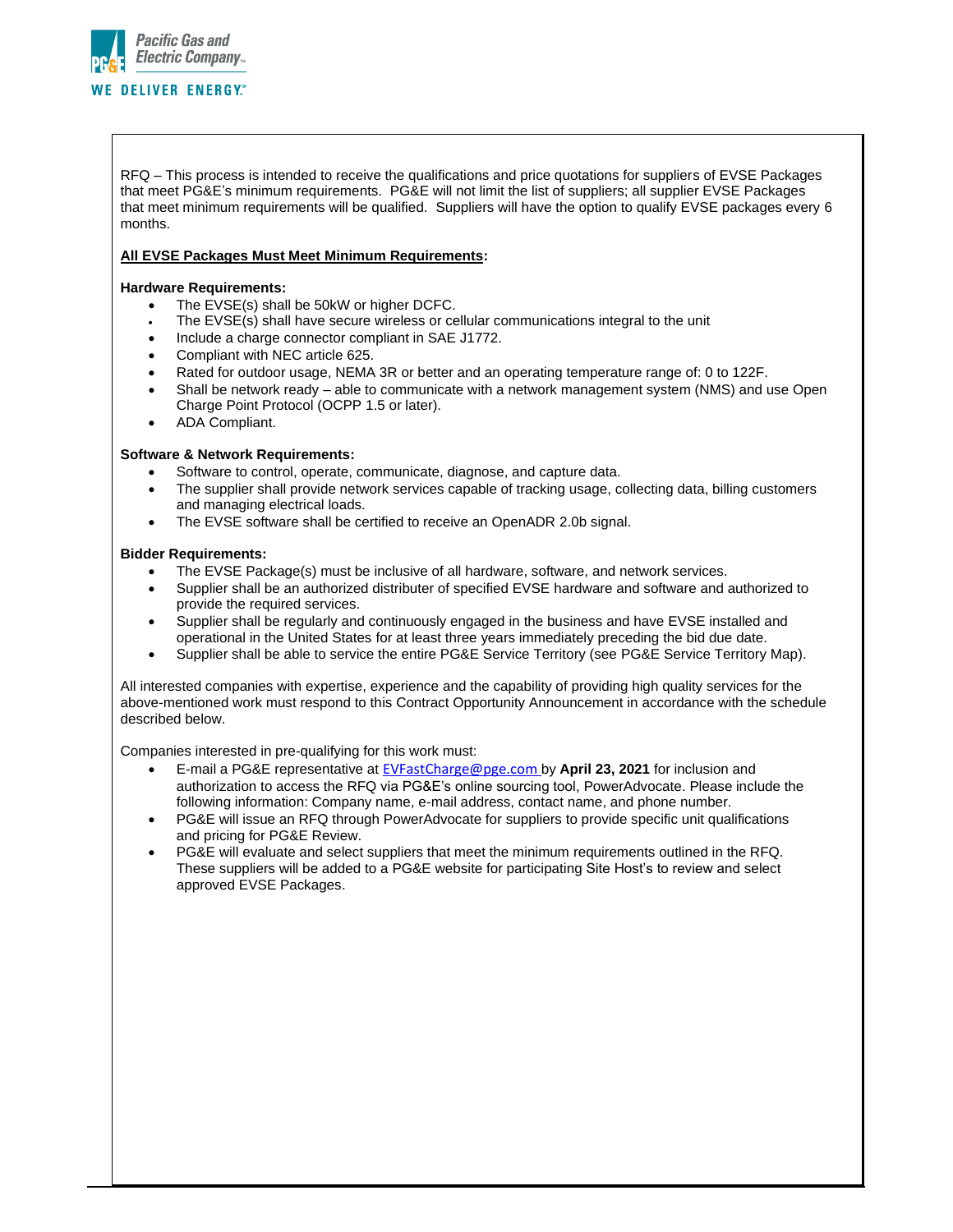

RFQ – This process is intended to receive the qualifications and price quotations for suppliers of EVSE Packages that meet PG&E's minimum requirements. PG&E will not limit the list of suppliers; all supplier EVSE Packages that meet minimum requirements will be qualified. Suppliers will have the option to qualify EVSE packages every 6 months.

#### **All EVSE Packages Must Meet Minimum Requirements:**

#### **Hardware Requirements:**

- The EVSE(s) shall be 50kW or higher DCFC.
- The EVSE(s) shall have secure wireless or cellular communications integral to the unit
- Include a charge connector compliant in SAE J1772.
- Compliant with NEC article 625.
- Rated for outdoor usage, NEMA 3R or better and an operating temperature range of: 0 to 122F.
- Shall be network ready able to communicate with a network management system (NMS) and use Open Charge Point Protocol (OCPP 1.5 or later).
- ADA Compliant.

#### **Software & Network Requirements:**

- Software to control, operate, communicate, diagnose, and capture data.
- The supplier shall provide network services capable of tracking usage, collecting data, billing customers and managing electrical loads.
- The EVSE software shall be certified to receive an OpenADR 2.0b signal.

#### **Bidder Requirements:**

- The EVSE Package(s) must be inclusive of all hardware, software, and network services.
- Supplier shall be an authorized distributer of specified EVSE hardware and software and authorized to provide the required services.
- Supplier shall be regularly and continuously engaged in the business and have EVSE installed and operational in the United States for at least three years immediately preceding the bid due date.
- Supplier shall be able to service the entire PG&E Service Territory (see PG&E Service Territory Map).

All interested companies with expertise, experience and the capability of providing high quality services for the above-mentioned work must respond to this Contract Opportunity Announcement in accordance with the schedule described below.

Companies interested in pre-qualifying for this work must:

- E-mail a PG&E representative at [EVFastCharge@pge.com](mailto:EVFastCharge@pge.com) by **April 23, 2021** for inclusion and authorization to access the RFQ via PG&E's online sourcing tool, PowerAdvocate. Please include the following information: Company name, e-mail address, contact name, and phone number.
- PG&E will issue an RFQ through PowerAdvocate for suppliers to provide specific unit qualifications and pricing for PG&E Review.
- PG&E will evaluate and select suppliers that meet the minimum requirements outlined in the RFQ. These suppliers will be added to a PG&E website for participating Site Host's to review and select approved EVSE Packages.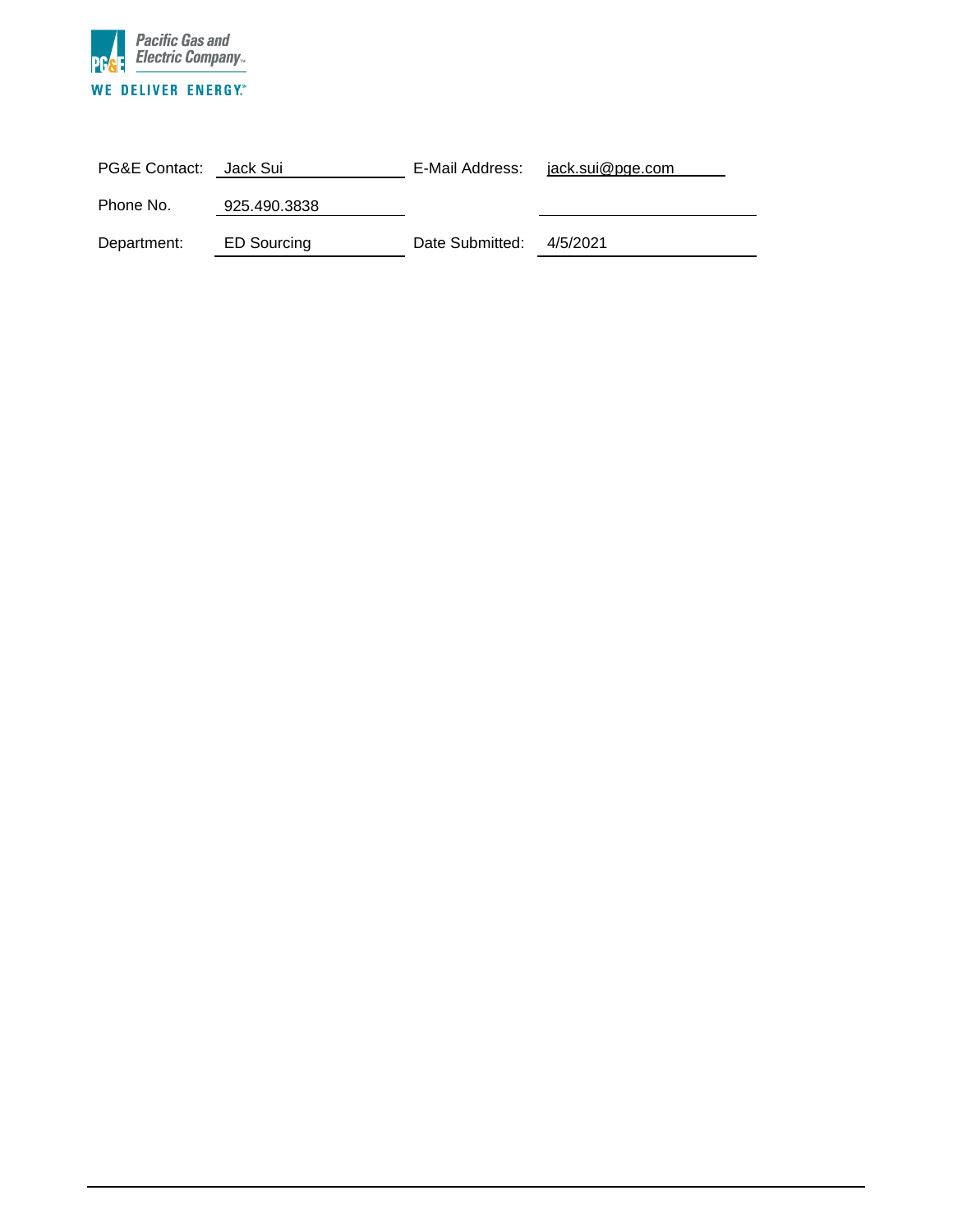

| PG&E Contact: Jack Sui |              | E-Mail Address: | jack.sui@pge.com |
|------------------------|--------------|-----------------|------------------|
| Phone No.              | 925.490.3838 |                 |                  |
| Department:            | ED Sourcing  | Date Submitted: | 4/5/2021         |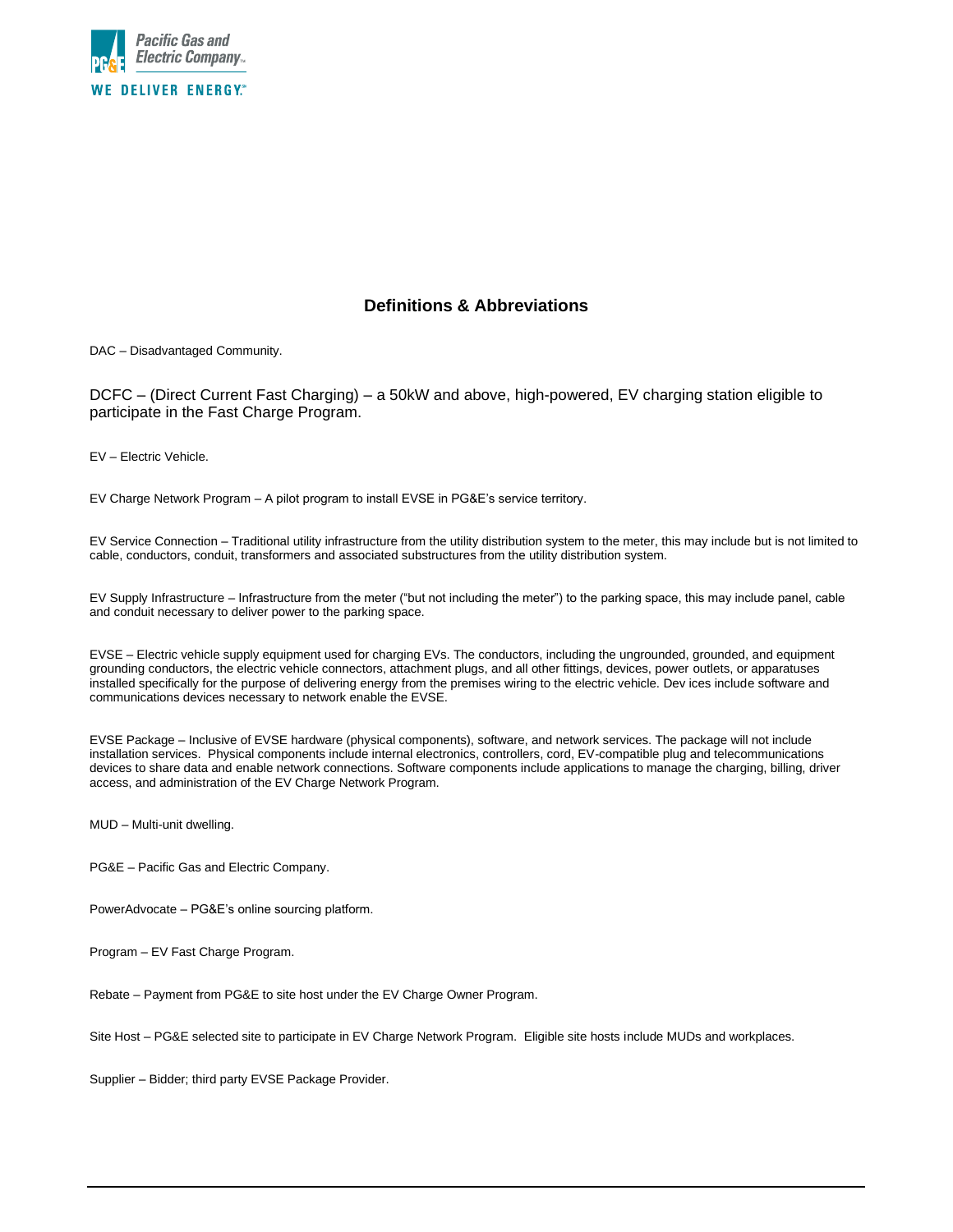

## **Definitions & Abbreviations**

DAC – Disadvantaged Community.

DCFC – (Direct Current Fast Charging) – a 50kW and above, high-powered, EV charging station eligible to participate in the Fast Charge Program.

EV – Electric Vehicle.

EV Charge Network Program – A pilot program to install EVSE in PG&E's service territory.

EV Service Connection – Traditional utility infrastructure from the utility distribution system to the meter, this may include but is not limited to cable, conductors, conduit, transformers and associated substructures from the utility distribution system.

EV Supply Infrastructure – Infrastructure from the meter ("but not including the meter") to the parking space, this may include panel, cable and conduit necessary to deliver power to the parking space.

EVSE – Electric vehicle supply equipment used for charging EVs. The conductors, including the ungrounded, grounded, and equipment grounding conductors, the electric vehicle connectors, attachment plugs, and all other fittings, devices, power outlets, or apparatuses installed specifically for the purpose of delivering energy from the premises wiring to the electric vehicle. Dev ices include software and communications devices necessary to network enable the EVSE.

EVSE Package – Inclusive of EVSE hardware (physical components), software, and network services. The package will not include installation services. Physical components include internal electronics, controllers, cord, EV-compatible plug and telecommunications devices to share data and enable network connections. Software components include applications to manage the charging, billing, driver access, and administration of the EV Charge Network Program.

MUD – Multi-unit dwelling.

- PG&E Pacific Gas and Electric Company.
- PowerAdvocate PG&E's online sourcing platform.

Program – EV Fast Charge Program.

Rebate – Payment from PG&E to site host under the EV Charge Owner Program.

Site Host – PG&E selected site to participate in EV Charge Network Program. Eligible site hosts include MUDs and workplaces.

Supplier – Bidder; third party EVSE Package Provider.